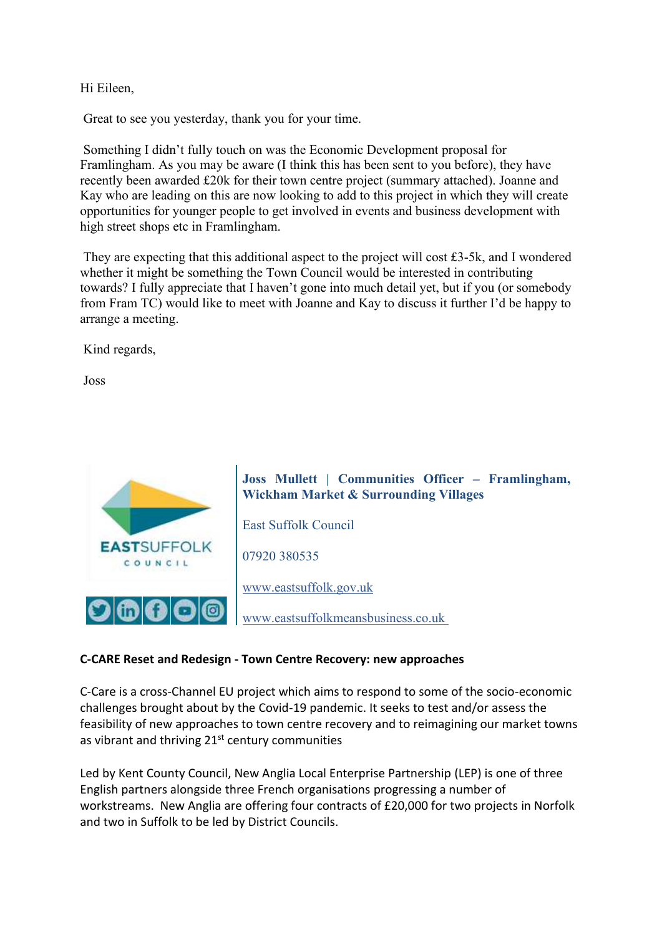# Hi Eileen,

Great to see you yesterday, thank you for your time.

Something I didn't fully touch on was the Economic Development proposal for Framlingham. As you may be aware (I think this has been sent to you before), they have recently been awarded £20k for their town centre project (summary attached). Joanne and Kay who are leading on this are now looking to add to this project in which they will create opportunities for younger people to get involved in events and business development with high street shops etc in Framlingham.

They are expecting that this additional aspect to the project will cost £3-5k, and I wondered whether it might be something the Town Council would be interested in contributing towards? I fully appreciate that I haven't gone into much detail yet, but if you (or somebody from Fram TC) would like to meet with Joanne and Kay to discuss it further I'd be happy to arrange a meeting.

Kind regards,

Joss



#### **C-CARE Reset and Redesign - Town Centre Recovery: new approaches**

C-Care is a cross-Channel EU project which aims to respond to some of the socio-economic challenges brought about by the Covid-19 pandemic. It seeks to test and/or assess the feasibility of new approaches to town centre recovery and to reimagining our market towns as vibrant and thriving 21<sup>st</sup> century communities

Led by Kent County Council, New Anglia Local Enterprise Partnership (LEP) is one of three English partners alongside three French organisations progressing a number of workstreams. New Anglia are offering four contracts of £20,000 for two projects in Norfolk and two in Suffolk to be led by District Councils.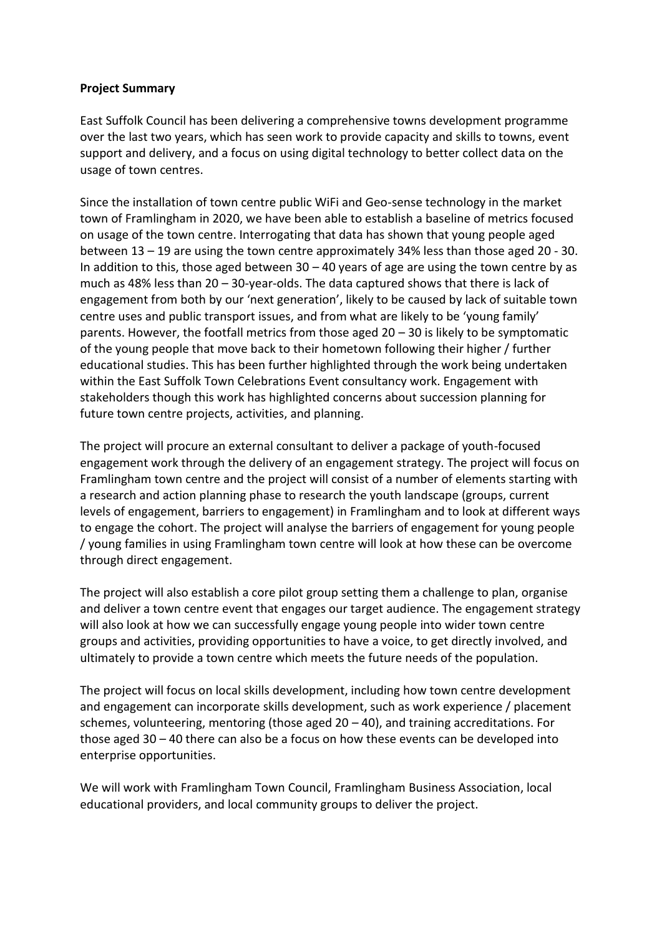#### **Project Summary**

East Suffolk Council has been delivering a comprehensive towns development programme over the last two years, which has seen work to provide capacity and skills to towns, event support and delivery, and a focus on using digital technology to better collect data on the usage of town centres.

Since the installation of town centre public WiFi and Geo-sense technology in the market town of Framlingham in 2020, we have been able to establish a baseline of metrics focused on usage of the town centre. Interrogating that data has shown that young people aged between 13 – 19 are using the town centre approximately 34% less than those aged 20 - 30. In addition to this, those aged between  $30 - 40$  years of age are using the town centre by as much as 48% less than 20 – 30-year-olds. The data captured shows that there is lack of engagement from both by our 'next generation', likely to be caused by lack of suitable town centre uses and public transport issues, and from what are likely to be 'young family' parents. However, the footfall metrics from those aged 20 – 30 is likely to be symptomatic of the young people that move back to their hometown following their higher / further educational studies. This has been further highlighted through the work being undertaken within the East Suffolk Town Celebrations Event consultancy work. Engagement with stakeholders though this work has highlighted concerns about succession planning for future town centre projects, activities, and planning.

The project will procure an external consultant to deliver a package of youth-focused engagement work through the delivery of an engagement strategy. The project will focus on Framlingham town centre and the project will consist of a number of elements starting with a research and action planning phase to research the youth landscape (groups, current levels of engagement, barriers to engagement) in Framlingham and to look at different ways to engage the cohort. The project will analyse the barriers of engagement for young people / young families in using Framlingham town centre will look at how these can be overcome through direct engagement.

The project will also establish a core pilot group setting them a challenge to plan, organise and deliver a town centre event that engages our target audience. The engagement strategy will also look at how we can successfully engage young people into wider town centre groups and activities, providing opportunities to have a voice, to get directly involved, and ultimately to provide a town centre which meets the future needs of the population.

The project will focus on local skills development, including how town centre development and engagement can incorporate skills development, such as work experience / placement schemes, volunteering, mentoring (those aged  $20 - 40$ ), and training accreditations. For those aged 30 – 40 there can also be a focus on how these events can be developed into enterprise opportunities.

We will work with Framlingham Town Council, Framlingham Business Association, local educational providers, and local community groups to deliver the project.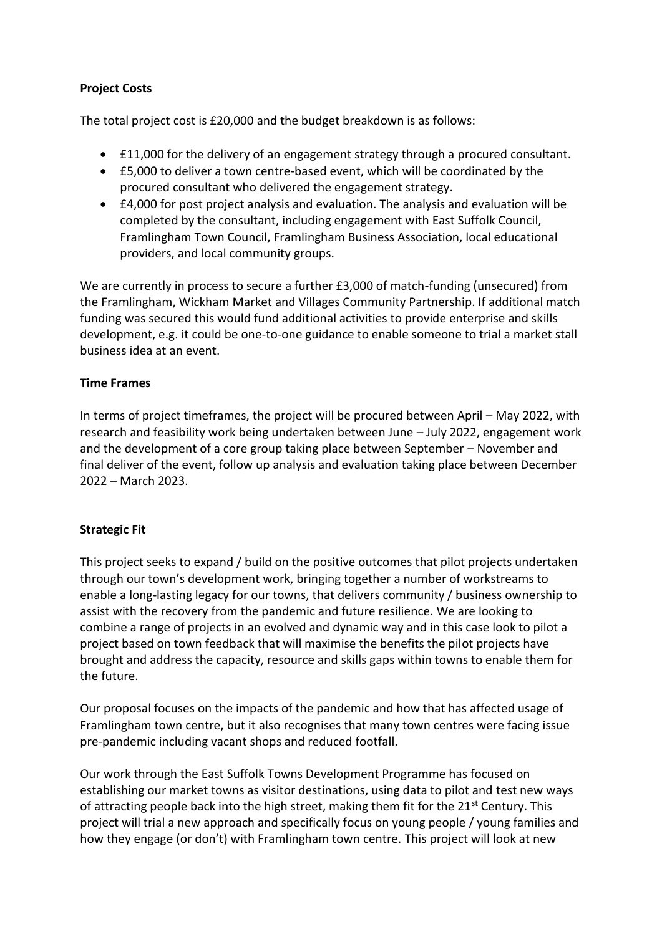# **Project Costs**

The total project cost is £20,000 and the budget breakdown is as follows:

- £11,000 for the delivery of an engagement strategy through a procured consultant.
- £5,000 to deliver a town centre-based event, which will be coordinated by the procured consultant who delivered the engagement strategy.
- £4,000 for post project analysis and evaluation. The analysis and evaluation will be completed by the consultant, including engagement with East Suffolk Council, Framlingham Town Council, Framlingham Business Association, local educational providers, and local community groups.

We are currently in process to secure a further £3,000 of match-funding (unsecured) from the Framlingham, Wickham Market and Villages Community Partnership. If additional match funding was secured this would fund additional activities to provide enterprise and skills development, e.g. it could be one-to-one guidance to enable someone to trial a market stall business idea at an event.

## **Time Frames**

In terms of project timeframes, the project will be procured between April – May 2022, with research and feasibility work being undertaken between June – July 2022, engagement work and the development of a core group taking place between September – November and final deliver of the event, follow up analysis and evaluation taking place between December 2022 – March 2023.

## **Strategic Fit**

This project seeks to expand / build on the positive outcomes that pilot projects undertaken through our town's development work, bringing together a number of workstreams to enable a long-lasting legacy for our towns, that delivers community / business ownership to assist with the recovery from the pandemic and future resilience. We are looking to combine a range of projects in an evolved and dynamic way and in this case look to pilot a project based on town feedback that will maximise the benefits the pilot projects have brought and address the capacity, resource and skills gaps within towns to enable them for the future.

Our proposal focuses on the impacts of the pandemic and how that has affected usage of Framlingham town centre, but it also recognises that many town centres were facing issue pre-pandemic including vacant shops and reduced footfall.

Our work through the East Suffolk Towns Development Programme has focused on establishing our market towns as visitor destinations, using data to pilot and test new ways of attracting people back into the high street, making them fit for the 21<sup>st</sup> Century. This project will trial a new approach and specifically focus on young people / young families and how they engage (or don't) with Framlingham town centre. This project will look at new